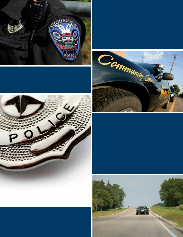





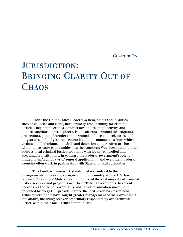#### CHAPTER ONE

# JURISDICTION: BRINGING CLARITY OUT OF **CHAOS**

 Under the United States' Federal system, States and localities, such as counties and cities, have primary responsibility for criminal justice. They define crimes, conduct law enforcement activity, and impose sanctions on wrongdoers. Police officers, criminal investigators, prosecutors, public defenders and criminal defense counsel, juries, and magistrates and judges are accountable to the communities from which victims and defendants hail. Jails and detention centers often are located within those same communities. It's the American Way: local communities address local criminal justice problems with locally controlled and accountable institutions. In contrast, the Federal government's role is limited to enforcing laws of general application,<sup>1</sup> and even then, Federal agencies often work in partnership with State and local authorities.

This familiar framework stands in stark contrast to the arrangements in federally recognized Indian country, where U.S. law requires Federal and State superintendence of the vast majority of criminal justice services and programs over local Tribal governments. In recent decades, as the Tribal sovereignty and self-determination movement endorsed by every U.S. president since Richard Nixon has taken hold, Tribal governments have sought greater management of their own assets and affairs, including recovering primary responsibility over criminal justice within their local Tribal communities.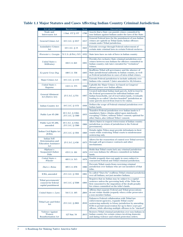## **Table 1.1 Major Statutes and Cases Affecting Indian Country Criminal Jurisdiction**

| <b>ACT OR CASE</b>                                                      | REFERENCE                             | <b>YEAR</b> | <b>DESCRIPTION</b>                                                                                                                                                                                                                                                                 |
|-------------------------------------------------------------------------|---------------------------------------|-------------|------------------------------------------------------------------------------------------------------------------------------------------------------------------------------------------------------------------------------------------------------------------------------------|
| Trade and<br><b>Intercourse Act</b>                                     | 1 Stat. 137 § 137                     | 1790        | Asserts that a State can punish crimes committed by<br>non-Indians against Indians under the laws of the State.                                                                                                                                                                    |
| <b>General Crimes Act</b>                                               | 18 U.S.C. § 1817                      | 1817        | General Federal laws for the punishment of non-Indian<br>crimes are upheld on Tribal lands; Indian offenses<br>remain under Tribal jurisdiction.                                                                                                                                   |
| <b>Assimilative Crimes</b><br>Act                                       | 18 U.S.C. § 13                        | 1825        | Extends coverage through Federal enforcement of<br>certain state criminal laws in certain Federal enclaves.                                                                                                                                                                        |
| Worcester v. Georgia                                                    | 31 U.S. (6 Pet.) 515                  | 1832        | State laws have no rule of force in Indian country                                                                                                                                                                                                                                 |
| United States v.<br><b>McBratney</b>                                    | 104 U.S. 621                          | 1881        | Provides for exclusive State criminal jurisdiction over<br>crimes between non-Indians for offenses committed in<br>Indian country; rule later extended for "victimless"<br>crimes.                                                                                                 |
| <i>Ex parte Crow Dog</i>                                                | 109 U.S. 556                          | 1883        | Reaffirms Tribal self-governance and the absence of<br>State jurisdictional authority in Indian country, as well<br>as Federal jurisdiction in cases of intra-tribal crimes.                                                                                                       |
| Major Crimes Act                                                        | 18 U.S.C. § 1155                      | 1885        | Extends Federal jurisdiction to include authority over<br>Indians who commit 7 (later amended to 16) felonies.                                                                                                                                                                     |
| United States v.<br>Kagama                                              | 118 U.S. 375                          | 1886        | Upholds the Major Crimes Act based on Congress'<br>plenary power over Indian affairs.                                                                                                                                                                                              |
| General Allotment<br>Act (Dawes Act)                                    | 25 U.S.C. § 331                       | 1887        | Created individual Indian land parcels, held in trust by<br>the Federal government for individual Indians and<br>Indian households, out of reservation lands, eventually<br>leading to so-called "checker-boarded" jurisdiction as<br>some parcels moved from trust to fee status. |
| <b>Indian Country Act</b>                                               | 18 U.S.C. § 1151                      | 1948        | Defines the scope of Federal criminal jurisdiction over<br>Indian lands.                                                                                                                                                                                                           |
| Public Law 83-280                                                       | 18 U.S.C. § 1162;<br>25 U.S.C. § 1360 | 1953        | Transfers Federal jurisdiction over Indian lands to 5<br>mandatory States (Alaska added upon statehood),<br>excepting 3 Tribes, without Tribes' consent; optional for<br>other States, also without Tribes' consent.                                                               |
| Public Law 85-280,<br>amended                                           | 18 U.S.C. § 1162;<br>25 U.S.C. § 1360 | 1968        | Allows States to request retrocession of Indian country<br>jurisdiction (a return of jurisdiction to the Federal<br>government).                                                                                                                                                   |
| Indian Civil Rights Act<br>(ICRA)                                       | 25 U.S.C. § 1301                      | 1968        | Details rights Tribes must provide defendants in their<br>courts while restricting Tribal courts to misdemeanor<br>sentencing only.                                                                                                                                                |
| Indian Self-<br>Determination and<br><b>Education Assistance</b><br>Act | 25 U.S.C. § 450                       | 1975        | Allows for the reassertion of control over Tribal services<br>through self-governance contracts and other<br>mechanisms.                                                                                                                                                           |
| $O$ liphant $v$ .<br>Susquamish Indian<br>Tribe                         | 455 U.S. 191                          | 1978        | Holds that Tribal courts lack any criminal jurisdiction<br>over non-Indians for offenses committed on Indian<br>lands.                                                                                                                                                             |
| United States v.<br>Wheeler                                             | 495 U.S. 313                          | 1978        | Double jeopardy does not apply in cases subject to<br>concurrent Federal and Tribal criminal jurisdiction.                                                                                                                                                                         |
| Duro v. Reina                                                           | 495 U.S. 676                          | 1990        | Prevents Tribal courts from exercising criminal<br>jurisdiction over Indians who are not members of that<br>tribe.                                                                                                                                                                 |
| ICRA, amended                                                           | 25 U.S.C. § 1301                      | 1991        | So-called "Duro fix" reaffirms Tribal criminal jurisdiction<br>over all Indians, not just member Indians.                                                                                                                                                                          |
| Tribal governments'<br>consent for federal<br>capital punishment        | 18 U.S.C. § 5598                      | 1994        | Requires that no Indian may be subject to a capital<br>sentence unless the governing body of the Tribe has<br>first consented to the imposition of the death penalty<br>for crimes committed on the tribe's lands.                                                                 |
| United States v. Lara                                                   | 541 U.S. 195                          | 2004        | Affirms that separate Federal and Tribal prosecutions<br>do not violate double jeopardy when a tribe prosecutes<br>a non-member Indian.                                                                                                                                            |
| Tribal Law and Order<br>Act                                             | 25 U.S.C. § 2801                      | 2010        | Enhances Federal collaboration with Tribal law<br>enforcement agencies, expands Tribal courts'<br>sentencing authority to felony jurisdiction by amending<br>ICRA to permit incarceration for up to three years per<br>offense, while allowing multiple offenses to be "stacked"   |
| <b>Violence Against</b><br>Women<br><b>Reauthorization Act</b>          | 127 Stat. 54                          | 2013        | Restores Tribal criminal jurisdiction over non-Indians in<br>Indian country for certain crimes involving domestic<br>and dating violence and related protection orders.                                                                                                            |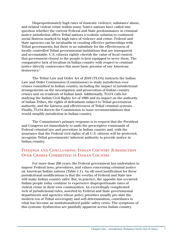Disproportionately high rates of domestic violence, substance abuse, and related violent crime within many Native nations have called into question whether the current Federal and State predominance in criminal justice jurisdiction offers Tribal nations a realistic solution to continued social distress marked by high rates of violence and crime. Federal and State agencies can be invaluable in creating effective partnerships with Tribal governments, but there is no substitute for the effectiveness of locally controlled Tribal governmental institutions that are transparent and accountable. U.S. citizens rightly cherish the value of local control: that government closest to the people is best equipped to serve them. The comparative lack of localism in Indian country with respect to criminal justice directly contravenes this most basic premise of our American democracy.<sup>2</sup>

The Tribal Law and Order Act of 2010 (TLOA) instructs the Indian Law and Order Commission (Commission) to study jurisdiction over crimes committed in Indian country, including the impact of jurisdictional arrangements on the investigation and prosecution of Indian country crimes and on residents of Indian land. Additionally, TLOA calls for studying the Indian Civil Rights Act of 1968 and its impact on the authority of Indian Tribes, the rights of defendants subject to Tribal government authority, and the fairness and effectiveness of Tribal criminal systems. Finally, TLOA directs the Commission to issue recommendations that would simplify jurisdiction in Indian country.

The Commission's primary response is to request that the President and Congress act immediately to undo the prescriptive commands of Federal criminal law and procedure in Indian country and, with the assurance that the Federal civil rights of all U.S. citizens will be protected, recognize Tribal governments' inherent authority to provide justice in Indian country.

# FINDINGS AND CONCLUSIONS: INDIAN COUNTRY JURISDICTION Over Crimes Committed in Indian Country

For more than 200 years, the Federal government has undertaken to impose Federal laws, procedures, and values concerning criminal justice on American Indian nations (Table 1.1). An oft-used justification for these jurisdictional modifications is that the overlay of Federal and State law will make Indian country safer. But, in practice, the opposite has occurred. Indian people today continue to experience disproportionate rates of violent crime in their own communities. An exceedingly complicated web of jurisdictional rules, asserted by Federal and State governmental departments and agencies whose policy priorities usually pre-date the modern era of Tribal sovereignty and self-determination, contributes to what has become an institutionalized public safety crisis. The symptoms of this systemic dysfunction are painfully apparent across Indian country.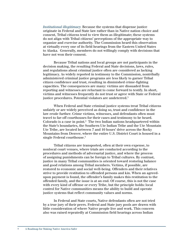*Institutional illegitimacy.* Because the systems that dispense justice originate in Federal and State law rather than in Native nation choice and consent, Tribal citizens tend to view them as illegitimate; these systems do not align with Tribal citizens' perceptions of the appropriate way to organize and exercise authority. The Commission heard this observation at virtually every one of its field hearings from the Eastern United States to Alaska. Generally, members do not willingly comply with decisions that have not won their consent.

 Because Tribal nations and local groups are not participants in the decision making, the resulting Federal and State decisions, laws, rules, and regulations about criminal justice often are considered as lacking legitimacy. As widely reported in testimony to the Commission, nontribally administered criminal justice programs are less likely to garner Tribal citizen confidence and trust, resulting in diminished crime-fighting capacities. The consequences are many: victims are dissuaded from reporting and witnesses are reluctant to come forward to testify. In short, victims and witnesses frequently do not trust or agree with State or Federal justice procedures. Potential violators are undeterred.<sup>3</sup>

 When Federal and State criminal justice systems treat Tribal citizens unfairly or are widely perceived as doing so, trust and confidence in the law erode further. Crime victims, witnesses, and defendants often must travel to far-off courthouses for their cases and testimony to be heard. Colorado is a case in point.4 The two Indian nations headquartered within the State's boundaries, the Southern Ute Indian Tribe and the Ute Mountain Ute Tribe, are located between 7 and 10 hours' drive across the Rocky Mountains from Denver, where the entire U.S. District Court is housed in a single Federal courthouse.<sup>5</sup>

 Tribal citizens are transported, often at their own expense, to nonlocal court venues, where trials are conducted according to the procedures and methods of adversarial justice, and where the process of assigning punishments can be foreign to Tribal cultures. By contrast, justice in many Tribal communities is oriented toward restoring balance and good relations among Tribal members. Victims, if possible, are restored to economic and social well-being. Offenders and their relatives strive to provide restitution to offended persons and kin. When an agreedupon payment is found, the offender's family makes this restitution to the offended family, and the issue is at an end. Of course, this is not the case with every kind of offense or every Tribe, but the principle holds: local control for Native communities means the ability to build and operate justice systems that reflect community values and norms.

 In Federal and State courts, Native defendants often are not tried by a true jury of their peers. Federal and State jury pools are drawn with little consideration of where Native people live and work. This concern also was raised repeatedly at Commission field hearings across Indian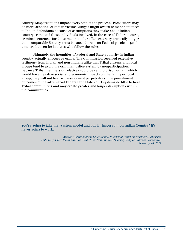country. Misperceptions impact every step of the process. Prosecutors may be more skeptical of Indian victims. Judges might award harsher sentences to Indian defendants because of assumptions they make about Indian country crime and those individuals involved. In the case of Federal courts, criminal sentences for the same or similar offenses are systemically longer than comparable State systems because there is no Federal parole or goodtime credit even for inmates who follow the rules.

 Ultimately, the inequities of Federal and State authority in Indian country actually encourage crime. The Commission received extensive testimony from Indian and non-Indians alike that Tribal citizens and local groups tend to avoid the criminal justice system by nonparticipation. Because Tribal members or relatives could be sent to prison or jail, which would have negative social and economic impacts on the family or local group, they will not bear witness against perpetrators. The punishment outcomes of the adversarial Federal and State court systems do little to heal Tribal communities and may create greater and longer disruptions within the communities.

You're going to take the Western model and put it—impose it—on Indian Country? It's never going to work.

> *Anthony Brandenburg, Chief Justice, Intertribal Court for Southern California Testimony before the Indian Law and Order Commission, Hearing at Agua Caliente Reservation February 16, 2012*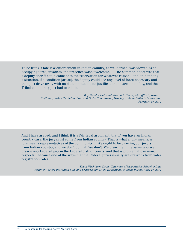To be frank, State law enforcement in Indian country, as we learned, was viewed as an occupying force, invaders, the presence wasn't welcome. …The common belief was that a deputy sheriff could come onto the reservation for whatever reason, [and] in handling a situation, if a condition [arose], the deputy could use any level of force necessary and then just drive away with no documentation, no justification, no accountability, and the Tribal community just had to take it.

> *Ray Wood, Lieutenant, Riverside County Sheriff's Department Testimony before the Indian Law and Order Commission, Hearing at Agua Caliente Reservation February 16, 2012*

And I have argued, and I think it is a fair legal argument, that if you have an Indian country case, the jury must come from Indian country. That is what a jury means. A jury means representatives of the community. …We ought to be drawing our jurors from Indian country, and we don't do that. We don't. We draw them the same way we draw every Federal jury in the Federal district courts, and that is problematic in many respects…because one of the ways that the Federal juries usually are drawn is from voter registration roles.

*Kevin Washburn, Dean, University of New Mexico School of Law Testimony before the Indian Law and Order Commission, Hearing at Pojoaque Pueblo, April 19, 2012*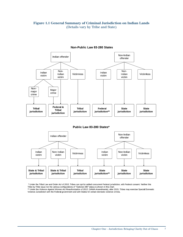#### **Figure 1.1 General Summary of Criminal Jurisdiction on Indian Lands** (Details vary by Tribe and State)



Non-Public Law 83-280 States

\* Under the Tribal Law and Order Act of 2010, Tribes can opt for added concurrent Federal jurisdiction, with Federal consent. Neither this Tribe-by-Tribe issue nor the various configurations of "Optional 280" status is shown in this chart.

\*\* Under the Violence Against Women Act Reauthorization of 2013 (VAWA Amendments), after 2015, Tribes may exercise Special Domestic Violence Jurisdiction with the Federal government and with States for certain domestic violence crimes.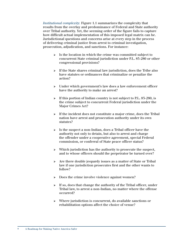*Institutional complexity.* Figure 1.1 summarizes the complexity that results from the overlay and predominance of Federal and State authority over Tribal authority. Yet, the seeming order of the figure fails to capture how difficult actual implementation of this imposed legal matrix can be. Jurisdictional questions and concerns arise at every step in the process of delivering criminal justice from arrest to criminal investigation, prosecution, adjudication, and sanctions. For instance:

- ➢ Is the location in which the crime was committed subject to concurrent State criminal jurisdiction under P.L. 83-280 or other congressional provisions?
- ➢ If the State shares criminal law jurisdiction, does the Tribe also have statutes or ordinances that criminalize or penalize the action?
- ➢ Under which government's law does a law enforcement officer have the authority to make an arrest?
- ➢ If this portion of Indian country is not subject to P.L. 83-280, is the crime subject to concurrent Federal jurisdiction under the Major Crimes Act?
- ➢ If the incident does not constitute a major crime, does the Tribal nation have arrest and prosecution authority under its own statutes?
- ➢ Is the suspect a non-Indian, does a Tribal officer have the authority not only to detain, but also to arrest and charge the offender under a cooperative agreement, special Federal commission, or conferral of State peace officer status?
- ➢ Which jurisdiction has the authority to prosecute the suspect, and to whose officers should the perpetrator be turned over?
- ➢ Are there double jeopardy issues as a matter of State or Tribal law if one jurisdiction prosecutes first and the other wants to follow?
- ➢ Does the crime involve violence against women?
- ➢ If so, does that change the authority of the Tribal officer, under Tribal law, to arrest a non-Indian, no matter where the offense occurred?
- ➢ Where jurisdiction is concurrent, do available sanctions or rehabilitation options affect the choice of venue?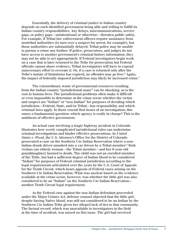Essentially, the delivery of criminal justice to Indian country depends on each identified government being able and willing to fulfill its Indian country responsibilities. Any delays, miscommunications, service gaps, or policy gaps—unintentional or otherwise—threaten public safety. For example, if Tribal law enforcement officers require assistance from nontribal authorities (to turn over a suspect for arrest, for example), but those authorities are substantially delayed, Tribal police may be unable to pursue a crime any further. If police, prosecutors, and judges do not have access to another government's criminal history information, they may not be able to act appropriately. If Federal investigators begin work on a case that is later returned to the Tribe for prosecution but Federal officials cannot share evidence, Tribal investigators will have to expend unnecessary effort to recreate it. Or, if a case is returned only after the Tribe's statute of limitations has expired, an offender may go free.<sup>6</sup> Again, the impact of federally imposed jurisdiction may likely be increased crime.<sup>7</sup>

The extraordinary waste of governmental resources resulting from the Indian country "jurisdictional maze" can be shocking, as is the cost in human lives. The jurisdictional problems often make it difficult or even impossible to determine at the crime scene whether the victim and suspect are "Indian" or "non-Indian" for purposes of deciding which jurisdiction-Federal, State, and/or Tribal-has responsibility and which criminal laws apply. In those crucial first hours of an investigation, this raises a fundamental question: which agency is really in charge? This is the antithesis of effective government.

An actual case involving a tragic highway accident in Colorado illustrates how overly complicated jurisdictional rules can undermine criminal investigations and hinder effective prosecutions. In United States v. Wood, the U.S. Attorney's Office for the District of Colorado prosecuted a case on the Southern Ute Indian Reservation where a non-Indian drunk driver smashed into a car driven by a Tribal member.<sup>8</sup> Both victims (an elderly woman—the Tribal member—and her 8-year-old granddaughter) burned to death. The child was not an enrolled member of the Tribe, but had a sufficient degree of Indian blood to be considered "Indian" for purposes of Federal criminal jurisdiction according to the legal requirements articulated over the years by the U.S. Court of Appeals for the Tenth Circuit, which hears appeals of Federal cases arising on the Southern Ute Indian Reservation. What was unclear based on the evidence available at the crime scene, however, was whether the little girl was also considered to be an "Indian" on the Southern Ute Indian Reservationanother Tenth Circuit legal requirement.

As the Federal case against the non-Indian defendant proceeded under the Major Crimes Act, defense counsel objected that the little girl, despite having Native blood, was still not considered to be an Indian by the Southern Ute Indian Tribe given her alleged lack of ties to that community. The factual record, which was unavailable to investigators in the field at the time of accident, was mixed on this issue. The girl had received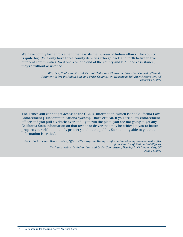We have county law enforcement that assists the Bureau of Indian Affairs. The county is quite big. (W)e only have three county deputies who go back and forth between five different communities. So if one's on one end of the county and BIA needs assistance, they're without assistance.

> *Billy Bell, Chairman, Fort McDermott Tribe, and Chairman, Intertribal Council of Nevada Testimony before the Indian Law and Order Commission, Hearing at Salt River Reservation, AZ January 13, 2012*

The Tribes still cannot get access to the CLETS information, which is the California Law Enforcement [Telecommunications System]. That's critical. If you are a law enforcement officer and you pull a vehicle over and…you run the plate, you are not going to get any California State information on that owner or driver that may be critical to you to better prepare yourself—to not only protect you, but the public. So not being able to get that information is critical.

*Joe LaPorte, Senior Tribal Advisor, Office of the Program Manager, Information Sharing Environment, Office of the Director of National Intelligence Testimony before the Indian Law and Order Commission, Hearing in Oklahoma City, OK June 14, 2012*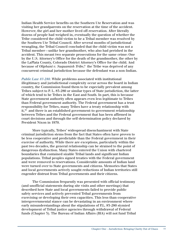Indian Health Service benefits on the Southern Ute Reservation and was visiting her grandparents on the reservation at the time of the accident. However, the girl and her mother lived off-reservation. After literally dozens of people had weighed in, eventually the question of whether the Tribe considered the child victim to be a Tribal member was resolved by the Southern Ute Tribal Council. After several months of jurisdictional wrangling, the Tribal Council concluded that the child victim was not a Tribal member—unlike her grandmother, who also had perished in the accident. This meant two separate prosecutions for the same crime: One by the U.S. Attorney's Office for the death of the grandmother, the other by the LaPlata County, Colorado District Attorney's Office for the child. And because of *Oliphant v. Suquamish Tribe*, 9 the Tribe was deprived of any concurrent criminal jurisdiction because the defendant was a non-Indian.

*Public Law 83-280.* While problems associated with institutional illegitimacy and jurisdictional complexity occur across the board in Indian country, the Commission found them to be especially prevalent among Tribes subject to P. L. 83-280 or similar types of State jurisdiction, the latter of which tend to be Tribes in the East and South. In part, this is because State government authority often appears even less legitimate to Tribes than Federal government authority. The Federal government has a trust responsibility for Tribes, many Tribes have a treaty relationship with  $it^{10}$  and there is an established government-to-government relationship between Tribes and the Federal government that has been affirmed in court decisions and through the self-determination policy declared by President Nixon in 1970.

 More typically, Tribes' widespread disenchantment with State criminal jurisdiction stems from the fact that States often have proven to be less cooperative and predictable than the Federal government in their exercise of authority. While there are exceptions, particularly within the past two decades, the general relationship can be strained to the point of dangerous dysfunction. Many States entered the Union with chartered boundaries that contained sizable Tribal lands and significant Indian populations. Tribal peoples signed treaties with the Federal government and were removed to reservations. Considerable amounts of Indian land were turned over to State governments and citizens. Memories that States and local governments actively sought reductions of Indian territories still engender distrust from Tribal governments and their citizens.

 The Commission frequently was presented with official testimony (and unofficial statements during site visits and other meetings) that described how State and local governments failed to provide public safety services and actively prevented Tribal governments from exercising or developing their own capacities. This less-than-cooperative intergovernmental stance can be devastating in an environment where early misunderstandings about the stipulations of P.L. 83-280 stymied development of Tribal justice agencies through withdrawal of Federal funds (Chapter 3). The Bureau of Indian Affairs (BIA) will not fund Tribal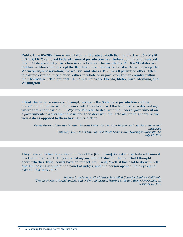**Public Law 83-280: Concurrent Tribal and State Jurisdiction.** Public Law 83-280 (18 U.S.C. § 1162) removed Federal criminal jurisdiction over Indian country and replaced it with State criminal jurisdiction in select states. The mandatory P.L. 83-280 states are California, Minnesota (except the Red Lake Reservation), Nebraska, Oregon (except the Warm Springs Reservation), Wisconsin, and Alaska. P.L. 83-280 permitted other States to assume criminal jurisdiction, either in whole or in part, over Indian country within their boundaries. The optional P.L. 83-280 states are Florida, Idaho, Iowa, Montana, and Washington.

I think the better scenario is to simply not have the State have jurisdiction and that doesn't mean that we wouldn't work with them because I think we live in a day and age where that's not possible. … (W)e would prefer to deal with the Federal government on a government-to-government basis and then deal with the State as our neighbors, as we would do as opposed to them having jurisdiction.

*Carrie Garrow, Executive Director, Syracuse University Center for Indigenous Law, Governance, and Citizenship Testimony before the Indian Law and Order Commission, Hearing in Nashville, TN July 13, 2012*

They have an Indian law subcommittee of the [California] State-Federal Judicial Council level, and...I got on it. They were asking me about Tribal courts and what I thought about whether Tribal courts have an impact, etc. I said, "Well, it has a lot to do with 280." And I'm looking around at the panel of judges, and one person opened their eyes [and asked]… "What's 280?"

*Anthony Brandenburg, Chief Justice, Intertribal Court for Southern California Testimony before the Indian Law and Order Commission, Hearing at Agua Caliente Reservation, CA February 16, 2012*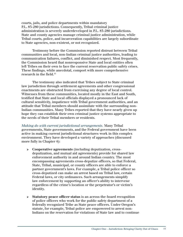courts, jails, and police departments within mandatory P.L. 83-280 jurisdictions. Consequently, Tribal criminal justice administration is severely underdeveloped in P.L. 83-280 jurisdictions. State and county agencies manage criminal justice administration, while Tribal courts, police, and incarceration capabilities are largely subordinate to State agencies, non-existent, or not recognized.

 Testimony before the Commission reported distrust between Tribal communities and local, non-Indian criminal justice authorities, leading to communication failures, conflict, and diminished respect. Most frequently, the Commission heard that nonresponsive State and local entities often left Tribes on their own to face the current reservation public safety crises. These findings, while anecdotal, comport with more comprehensive research in the field.<sup>11</sup>

 The testimony also indicated that Tribes subject to State criminal law jurisdiction through settlement agreements and other congressional enactments are obstructed from exercising any degree of local control. Witnesses from these communities, located mostly in the East and South, testified that State and local officials displayed a pronounced lack of cultural sensitivity, impatience with Tribal government authorities, and an attitude that Tribal members should assimilate with the surrounding non-Indian communities. Many Tribes reported that they have nearly given up hope they can establish their own criminal justice systems appropriate to the needs of their Tribal members or residents.

*Making do with current jurisdictional arrangements.* Many Tribal governments, State governments, and the Federal government have been active in making current jurisdictional structures work in this complex environment. They have developed a variety of approaches (discussed more fully in Chapter 4):

- ➢ **Cooperative agreements** (including deputization, crossdeputization, and mutual aid agreements) provide for shared law enforcement authority in and around Indian country. The most encompassing agreements cross-deputize officers, so that Federal, State, Tribal, municipal, or county officers are able to enforce a partner government's laws. For example, a Tribal police officer so cross-deputized can make an arrest based on Tribal law, certain Federal laws, or city ordinances. Such arrangements simplify law enforcement by supporting an officer's ability to intervene regardless of the crime's location or the perpetrator's or victim's identity.
- ➢ **Statutory peace officer status** is an across-the-board recognition of police officers who work for the public safety department of a federally recognized Tribe as State peace officers. Under Oregon's statute, for example, Tribal police are empowered to arrest non-Indians on the reservation for violations of State law and to continue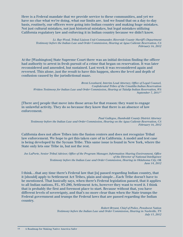Here is a Federal mandate that we provide service to these communities, and yet we have no clue what we're doing, what our limits are. And we found that on a day-to-day basis, routinely, our officers were going into Indian country and making huge mistakes. Not just cultural mistakes, not just historical mistakes, but legal mistakes utilizing California regulatory law and enforcing it in Indian country because we didn't know.

*Lt. Ray Wood, Tribal Liaison Unit Commander, Riverside County Sheriff's Department Testimony before the Indian Law and Order Commission, Hearing at Agua Caliente Reservation, CA February 16, 2012*

At the [Washington] State Supreme Court there was an initial decision finding the officer had authority to arrest in fresh pursuit of a crime that began on reservation. It was later reconsidered and amended, but sustained. Last week it was reconsidered again and reversed. This alone, just the result to have this happen, shows the level and depth of confusion caused by the jurisdictional maze.

*Brent Leonhard, Interim Lead Attorney, Office of Legal Counsel, Confederated Tribes of the Umatilla Indian Reservation Written Testimony for Indian Law and Order Commission, Hearing at Tulalip Indian Reservation, WA September 7, 201112*

[There are] people that move into those areas for that reason: they want to engage in unlawful activity. They do so because they know that there is an absence of law enforcement.

*Paul Gallegos, Humboldt County District Attorney Testimony before the Indian Law and Order Commission, Hearing on the Agua Caliente Reservation, CA February 16, 2012*

California does not allow Tribes into the fusion centers and does not recognize Tribal law enforcement. We hope to get this taken care of in California. A model and test case is being developed by the Sycuan Tribe. This same issue is found in New York, where the State only lets one Tribe in, but not the rest.

*Joe LaPorte, Senior Tribal Advisor, Office of the Program Manager, Information Sharing Environment, Office of the Director of National Intelligence Testimony before the Indian Law and Order Commission, Hearing in Oklahoma City, OK June 14, 2012*

I think…that any time there's Federal law that [is] passed regarding Indian country, that it [should] apply to Settlement Act Tribes, plain and simple…Each Tribe doesn't have to be mentioned. That basically says, when there's Federal legislation passed, that it applies to all Indian nations, P.L. 83-280, Settlement Acts, however they want to word it. I think that is probably the first and foremost place to start. Because without that, you have different levels of sovereignty, and that's no more clear than when the State trumps the Federal government and trumps the Federal laws that are passed regarding the Indian country.

> *Robert Bryant, Chief of Police, Penobscot Nation Testimony before the Indian Law and Order Commission, Hearing in Nashville, TN July 13, 2012*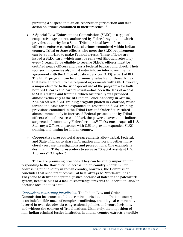pursuing a suspect onto an off-reservation jurisdiction and take action on crimes committed in their presence.<sup>15</sup>

- $\triangleright$  A Special Law Enforcement Commission (SLEC) is a type of cooperative agreement, authorized by Federal regulation, which provides authority for a State, Tribal, or local law enforcement officer to enforce certain Federal crimes committed within Indian country. Tribal or State officers who meet the SLEC requirements can be authorized to make Federal arrests. These officers are issued a SLEC card, which must be renewed (through retesting) every 3 years. To be eligible to receive SLECs, officers must be certified peace officers and pass a Federal background check. Their sponsoring agencies also must enter into an intergovernmental agreement with the Office of Justice Services (OJS), a part of BIA. The SLEC program can be enormously valuable for those Tribes that have entered into the required agreements with OJS. However, a major obstacle to the widespread use of the program—for both new SLEC cards and card renewals—has been the lack of access to SLEC testing and training, which historically was provided almost exclusively at the BIA Indian Police Academy in Artesia, NM. An off-site SLEC training program piloted in Colorado, which formed the basis for the expanded on-reservation SLEC training provisions contained in the Tribal Law and Order Act, resulted almost immediately in increased Federal prosecutions by Tribal officers who otherwise would lack the power to arrest non-Indians suspected of committing Federal crimes.<sup>14</sup> TLOA encourages all U.S. Attorney's Offices to partner with OJS to provide expanded SLEC training and testing for Indian country.
- $\triangleright$  Cooperative prosecutorial arrangements allow Tribal, Federal, and State officials to share information and work together more closely on case investigations and prosecutions. One example is designating Tribal prosecutors to serve as "Special Assistant U.S. Attorneys" (Chapter 3).

These are promising practices. They can be vitally important for responding to the flow of crime across Indian country's borders. For addressing public safety in Indian country, however, the Commission concludes that such practices will, at best, always be "work-arounds." They tend to deliver suboptimal justice because of holes in the patchwork system, because bias or a lack of knowledge prevents collaboration, and/or because local politics shift.

Conclusions concerning jurisdiction. The Indian Law and Order Commission has concluded that criminal jurisdiction in Indian country is an indefensible maze of complex, conflicting, and illogical commands, layered in over decades via congressional policies and court decisions, and without the consent of Tribal nations. Ultimately, the imposition of non-Indian criminal justice institution in Indian country extracts a terrible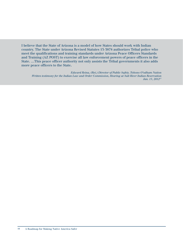I believe that the State of Arizona is a model of how States should work with Indian country. The State under Arizona Revised Statutes 13-3874 authorizes Tribal police who meet the qualifications and training standards under Arizona Peace Officers Standards and Training (AZ POST) to exercise all law enforcement powers of peace officers in the State. …This peace officer authority not only assists the Tribal governments it also adds more peace officers to the State**.**

*Edward Reina, (Ret.) Director of Public Safety, Tohono O'odham Nation Written testimony for the Indian Law and Order Commission, Hearing at Salt River Indian Reservation Jan. 13, 201215*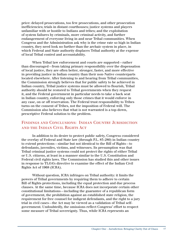price: delayed prosecutions, too few prosecutions, and other prosecution inefficiencies; trials in distant courthouses; justice systems and players unfamiliar with or hostile to Indians and tribes; and the exploitation of system failures by criminals, more criminal activity, and further endangerment of everyone living in and near Tribal communities. When Congress and the Administration ask why is the crime rate so high in Indian country, they need look no further than the archaic system in place, in which Federal and State authority displaces Tribal authority at the expense of local Tribal control and accountability.

 When Tribal law enforcement and courts are supported—rather than discouraged—from taking primary responsibility over the dispensation of local justice, they are often better, stronger, faster, and more effective in providing justice in Indian country than their non-Native counterparts located elsewhere. After listening to and hearing from Tribal communities, the Commission strongly believes that for public safety to be achieved in Indian country, Tribal justice systems must be allowed to flourish, Tribal authority should be restored to Tribal governments when they request it, and the Federal government in particular needs to take a back seat in Indian country, enforcing only those crimes that it would enforce in any case, on or off reservation. The Federal trust responsibility to Tribes turns on the consent of Tribes, not the imposition of Federal will. The Commission also believes that what is not warranted is a top-down, prescriptive Federal solution to the problem.

# FINDINGS AND CONCLUSIONS: INDIAN COUNTRY JURISDICTION and the Indian Civil Rights Act

 In addition to its desire to protect public safety, Congress considered the overlay of Federal and State law (through P.L. 83-280) in Indian country to extend protections—similar but not identical to the Bill of Rights—to defendants, juveniles, victims, and witnesses. Its presumption was that Tribal criminal justice systems could not protect the rights of either Tribal or U.S. citizens, at least in a manner similar to the U.S. Constitution and Federal civil rights laws. The Commission has studied this and other issues in response to TLOA's directive to examine the effect of the Indian Civil Rights Act of 1968 (ICRA).

 Without question, ICRA infringes on Tribal authority: it limits the powers of Tribal governments by requiring them to adhere to certain Bill of Rights protections, including the equal protection and due process clauses. At the same time, because ICRA does not incorporate certain other constitutional limitations—including the guarantee of a republican form of government, the prohibition against an established state religion, the requirement for free counsel for indigent defendants, and the right to a jury trial in civil cases—the Act may be viewed as a validation of Tribal selfgovernment. Undoubtedly, the omissions reflect Congress' effort to respect some measure of Tribal sovereignty. Thus, while ICRA represents an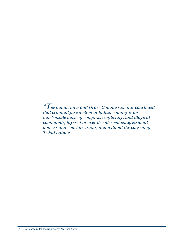*"The Indian Law and Order Commission has concluded that criminal jurisdiction in Indian country is an indefensible maze of complex, conflicting, and illogical commands, layered in over decades via congressional policies and court decisions, and without the consent of Tribal nations."*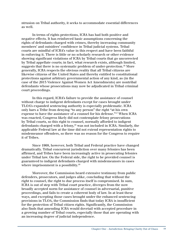ntrusion on Tribal authority, it seeks to accommodate essential differences as well.

 In terms of rights protections, ICRA has had both positive and negative effects. It has reinforced basic assumptions concerning the rights of defendants charged with crimes, thereby increasing community members' and outsiders' confidence in Tribal judicial systems. Tribal courts are mindful of ICRA's value in this respect and have been faithful in enforcing it. There is little or no scholarly research or other evidence showing significant violations of ICRA by Tribal courts that go uncorrected by Tribal appellate courts; in fact, what research exists, although limited, suggests that there is no systematic problem of under-protection.16 More generally, ICRA respects the obvious reality that all Tribal citizens are likewise citizens of the United States and thereby entitled to constitutional protections against arbitrary governmental action of any kind, as (in the case of the 2013 Violence Against Women Act Amendments) are nontribal defendants whose prosecutions may now be adjudicated in Tribal criminal court proceedings.

 In this regard, ICRA's failure to provide the assistance of counsel without charge to indigent defendants except for cases brought under TLOA's expanded sentencing authority is especially problematic. ICRA only bars a Tribe from denying "to any person" the right "at his own expense to have the assistance of a counsel for his defense."17 When ICRA was enacted, Congress likely did not contemplate felony prosecutions by Tribal courts, so this right to counsel, normally afforded to indigent defendants charged with a felony,<sup>18</sup> was not included in ICRA. Similarly, the applicable Federal law at the time did not extend representation rights to misdemeanor offenders, so there was no reason for the Congress to require it of Tribes.

 Since 1968, however, both Tribal and Federal practice have changed dramatically. Tribal concurrent jurisdiction over many felonies has been affirmed, and Tribes have been increasingly active in prosecuting felonies under Tribal law. On the Federal side, the right to be provided counsel is guaranteed to indigent defendants charged with misdemeanors in cases where imprisonment is a possibility.<sup>19</sup>

 Moreover, the Commission heard extensive testimony from public defenders, prosecutors, and judges alike, concluding that without the right to counsel, the right to due process itself is compromised. In sum, ICRA is out of step with Tribal court practice, diverges from the now broadly accepted norm for assistance of counsel in adversarial, punitive proceedings, and fails to create a coherent body of law. In at least these ways, and excepting those cases brought under the enhanced sentencing provisions in TLOA, the Commission finds that today ICRA is insufficient for the protection of Tribal citizen rights. Significantly, the Commission also finds that amending ICRA would dovetail with accepted procedure in a growing number of Tribal courts, especially those that are operating with an increasing degree of judicial independence.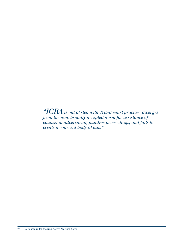*"ICRAis out of step with Tribal court practice, diverges from the now broadly accepted norm for assistance of counsel in adversarial, punitive proceedings, and fails to create a coherent body of law."*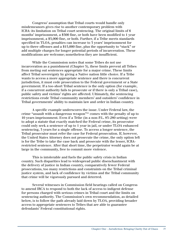Congress' assumption that Tribal courts would handle only misdemeanors gives rise to another contemporary problem with ICRA: its limitation on Tribal court sentencing. The original limits of 6 months' imprisonment, a \$500 fine, or both have been modified to 1 year imprisonment, a \$5,000 fine, or both. Further, if a Tribe meets standards specified in TLOA, penalties can increase to 3 years' imprisonment for up to three offenses and a \$15,000 fine, plus the opportunity to "stack" or add multiple charges for longer potential periods of incarceration. These modifications are welcome; nonetheless they are insufficient.

While the Commission notes that some Tribes do not use incarceration as a punishment (Chapter 5), these limits prevent all Tribes from meting out sentences appropriate for a major crime. These limits affect Tribal sovereignty by giving a Native nation little choice. If a Tribe wants to access a more appropriate sentence and there is concurrent jurisdiction, it must cede prosecution to the Federal government or a State government. If a too-short Tribal sentence is the only option (for example, if a concurrent authority fails to prosecute or if there is only a Tribal case), public safety and victims' rights are affected. Ultimately, the sentencing restrictions erode Tribal community members' and outsiders' confidence in Tribal governments' ability to maintain law and order in Indian country.

A specific example underscores the issue. Under Federal law, the crime "assault with a dangerous weapon"<sup>21</sup> comes with the penalty of up to 10 years imprisonment. Even if a Tribe (in a non-P.L. 85-280 setting) were to adopt a statute that exactly matched the Federal crime, its prosecutor could only seek a sentence of up to 1 year in jail, or under TLOA enhanced sentencing, 3 years for a single offense. To access a longer sentence, the Tribal prosecutor must refer the case for Federal prosecution. If, however, the United States Attorney does not prosecute the crime, the only option left is for the Tribe to take the case back and prosecute with the lesser, ICRArestricted sentence. After that short time, the perpetrator would again be at large in the community, free to commit more violence.

This is intolerable and fuels the public safety crisis in Indian country. Such disparities lead to widespread public disenchantment with the delivery of justice in Indian country, comparatively fewer Federal prosecutions, too many restrictions and constraints on the Tribal criminal justice system, and lack of confidence by victims and the Tribal community that crime will be vigorously pursued and deterred.

Several witnesses in Commission field hearings called on Congress to amend IRCA to respond to both the lack of access to indigent defense for persons charged with serious crimes in Tribal court and the limits on sentencing authority. The Commission's own recommendation, as detailed below, is to follow the path already laid down by TLOA, providing broader access to appropriate sentences to Tribes that are able to guarantee defendants' Federal constitutional rights.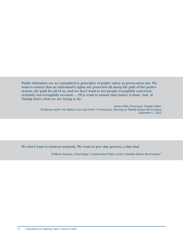Public defenders are as committed to principles of public safety as prosecutors are. We want to ensure that an individual's rights are protected all along the path of the justice system, the path for all of us, and we don't want to see people wrongfully convicted, certainly not wrongfully accused…. (W)e want to ensure that justice is done. And at Tulalip that's what we are trying to do.

> *Janice Ellis, Prosecutor Tulalip Tribes Testimony before the Indian Law and Order Commission, Hearing at Tulalip Indian Reservation September 7, 2012*

We don't want to mistreat anybody. We want to give due process, a fair trial.

*William Johnson, Chief Judge, Confederated Tribes of the Umatilla Indian Reservation20*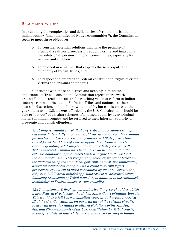### **RECOMMENDATIONS**

In examining the complexities and deficiencies of criminal jurisdiction in Indian country (and other affected Native communities<sup>22</sup>), the Commission seeks to meet three objectives:

- ➢ To consider potential solutions that have the promise of practical, real-world success in reducing crime and improving the safety of all persons in Indian communities, especially for women and children;
- ➢ To proceed in a manner that respects the sovereignty and autonomy of Indian Tribes; and
- ➢ To respect and enforce the Federal constitutional rights of crime victims and criminal defendants.

 Consistent with these objectives and keeping in mind the importance of Tribal consent, the Commission rejects more "workarounds" and instead embraces a far-reaching vision of reform to Indian country criminal jurisdiction. All Indian Tribes and nations—at their own sole discretion, and on their own timetable, but consistent with the guarantees to all U.S. citizens afforded by the U.S. Constitution—should be able to "opt out" of existing schemes of imposed authority over criminal matters in Indian country and be restored to their inherent authority to prosecute and punish offenders.

**1.1:** *Congress should clarify that any Tribe that so chooses can opt out immediately, fully or partially, of Federal Indian country criminal jurisdiction and/or congressionally authorized State jurisdiction, except for Federal laws of general application. Upon a Tribe's exercise of opting out, Congress would immediately recognize the Tribe's inherent criminal jurisdiction over all persons within the exterior boundaries of the Tribe's lands as defined in the Federal Indian Country Act.23 This recognition, however, would be based on the understanding that the Tribal government must also immediately afford all individuals charged with a crime with civil rights protections equivalent to those guaranteed by the U.S. Constitution, subject to full Federal judicial appellate review as described below, following exhaustion of Tribal remedies, in addition to the continued availability of Federal habeas corpus remedies.* 

**1.2:** *To implement Tribes' opt-out authority, Congress should establish a new Federal circuit court, the United States Court of Indian Appeals. This would be a full Federal appellate court as authorized by Article III of the U.S. Constitution, on par with any of the existing circuits, to hear all appeals relating to alleged violations of the 4th, 5th, 6th, and 8th Amendments of the U.S. Constitution by Tribal courts; to interpret Federal law related to criminal cases arising in Indian*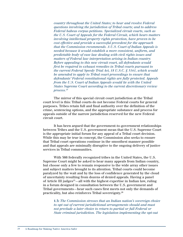*country throughout the United States; to hear and resolve Federal questions involving the jurisdiction of Tribal courts; and to address Federal habeas corpus petitions. Specialized circuit courts, such as the U.S. Court of Appeals for the Federal Circuit, which hears matters involving intellectual property rights protection, have proven to be cost effective and provide a successful precedent for the approach that the Commission recommends. A U.S. Court of Indian Appeals is needed because it would establish a more consistent, uniform, and predictable body of case law dealing with civil rights issues and matters of Federal law interpretation arising in Indian country. Before appealing to this new circuit court, all defendants would first be required to exhaust remedies in Tribal courts pursuant to the current Federal Speedy Trial Act, 18 U.S.C. § 3161, which would be amended to apply to Tribal court proceedings to ensure that defendants' Federal constitutional rights are fully protected. Appeals from the U.S. Court of Indian Appeals would lie with the United States Supreme Court according to the current discretionary review process.24*

 The mirror of this special circuit court jurisdiction at the Tribal court level is this: Tribal courts do not become Federal courts for general purposes. Tribes retain full and final authority over the definition of the crime, sentencing options, and the appropriate substance and process for appeals outside of the narrow jurisdiction reserved for the new Federal circuit court.

 It has been argued that the government-to-government relationships between Tribes and the U.S. government mean that the U.S. Supreme Court is the appropriate initial forum for any appeal of a Tribal court decision. While this may be true in concept, the Commission also seeks to ensure that Tribal court operations continue in the smoothest manner possible and that appeals are minimally disruptive to the ongoing delivery of justice services in Tribal communities.

 With 566 federally recognized tribes in the United States, the U.S. Supreme Court might be asked to hear many appeals from Indian country, but choose only a few to remain responsive to the wide array other issues and subject matters brought to its attention. Tribal courts could become paralyzed by the wait and by the loss of confidence generated by the cloud of uncertainty resulting from dozens of denied appeals. Having a panel of Article III judges<sup>25</sup>—all with the highest expertise in Indian law, ruling in a forum designed in consultation between the U.S. government and Tribal governments—hear such cases first meets not only the demands of practicality, but also reinforces Tribal sovereignty.26

**1.3:** *The Commission stresses that an Indian nation's sovereign choice to opt out of current jurisdictional arrangements should and must not preclude a later choice to return to partial or full Federal or State criminal jurisdiction. The legislation implementing the opt-out*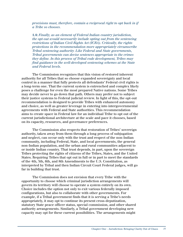*provisions must, therefore, contain a reciprocal right to opt back in if a Tribe so chooses.*

**1.4:** *Finally, as an element of Federal Indian country jurisdiction, the opt-out would necessarily include opting out from the sentencing restrictions of Indian Civil Rights Act (ICRA). Critically, the rights protections in the recommendation more appropriately circumscribe Tribal sentencing authority. Like Federal and State governments, Tribal governments can devise sentences appropriate to the crimes they define. In this process of Tribal code development, Tribes may find guidance in the well-developed sentencing schemes at the State and Federal levels.*

 The Commission recognizes that this vision of restored inherent authority for all Tribes that so choose expanded sovereignty and local control in a manner that fully protects all defendants' Federal civil rights is a long-term one. That the current system is entrenched and complex likely poses a challenge for even the most prepared Native nations. Some Tribes may decide never to go down that path. Others may prefer not to subject their justice systems to Federal judicial review. In light of this, the opt-out recommendation is designed to provide Tribes with enhanced autonomy and choice, as well as greater leverage in entering into intergovernmental agreements with Federal and State authorities. This recommendation aims to create space in Federal law for an individual Tribe to opt out of the current jurisdictional architecture at the scale and pace it chooses, based on its capacity, resources, and governance preferences.

 The Commission also respects that restoration of Tribes' sovereign authority, taken away from them through a long process of subjugation and neglect, can occur only with the trust and respect of the non-Indian community, including Federal, State, and local governments, the general non-Indian population, and the urban and rural communities adjacent to or inside Indian country. That trust depends, in part, upon the sovereign Tribes protecting the rights of citizens of the Tribes, States, and the United States. Requiring Tribes that opt out in full or in part to meet the standards of the 4th, 5th, 6th, and 8th Amendments to the U.S. Constitution, as interpreted by Tribal and then Indian Circuit Court Federal judges, will go far in building that trust.

 The Commission does not envision that every Tribe with the opportunity to choose which criminal jurisdiction arrangements will govern its territory will choose to operate a system entirely on its own. Choice includes the option not only to exit various federally imposed configurations, but also to collaborate with other governments. For example, if a Tribal government finds that it is serving a Tribe's needs appropriately, it may opt to continue its present cross-deputization, statutory State peace officer status, special commission, and other shared authority arrangements. Similarly, a Tribal government developing new capacity may opt for these current possibilities. The arrangements might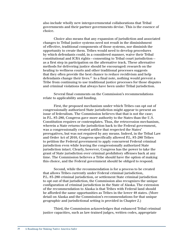also include wholly new intergovernmental collaborations that Tribal governments and their partner governments devise. This is the essence of choice.

 Choice also means that any expansion of jurisdiction and associated changes to Tribal justice systems need not result in the diminishment of effective, traditional components of those systems, nor diminish the opportunity to create them. Tribes would need to develop procedures by which defendants could, in a considered manner, waive their Tribal constitutional and ICRA rights—consenting to Tribal court jurisdiction as a first step in participation on the alternative track. These alternative methods for delivering justice should be encouraged: research on the healing to wellness courts and other traditional processes suggests that they often provide the best chance to reduce recidivism and help defendants change their lives.27 As a final note, nothing would prevent a Tribe from continuing to use traditional justice processes for those disputes and criminal violations that always have been under Tribal jurisdiction.

 Several final comments on the Commission's recommendations relate to applicability and funding.

 First, the proposed mechanism under which Tribes can opt out of congressionally authorized State jurisdiction might appear to present an issue of federalism. The Commission believes that that is not the case; in P.L. 83-280, Congress gave more authority to the States than the U.S. Constitution requires or contemplates. Thus, the retrocession mechanism, wherein a State returns the jurisdiction back to the Federal government, was a congressionally created artifice that respected the States' prerogatives, but was not required by any means. Indeed, in the Tribal Law and Order Act of 2010, Congress specifically allowed P.L. 83-280 Tribes to petition the Federal government to apply concurrent Federal criminal jurisdiction even while leaving the congressionally authorized State jurisdiction intact. Clearly, however, Congress has the power to take the grant of State jurisdiction over criminal prohibitory offenses back at any time. The Commission believes a Tribe should have the option of making this choice, and the Federal government should be obliged to respond.

 Second, while the recommendation is for a process to be created that allows Tribes currently under Federal criminal jurisdiction, P.L. 83-280 criminal jurisdiction, or settlement State criminal jurisdiction to opt out of that jurisdiction, the Commission also recognizes the unique configuration of criminal jurisdiction in the State of Alaska. The extension of the recommendation to Alaska is that Tribes with Federal land should be afforded the same opportunities as Tribes in the lower 48 states. (More detail on Alaska and the Commission's recommendations for that unique geographic and jurisdictional setting is provided in Chapter 2.)

 Third, the Commission acknowledges that enhanced Tribal criminal justice capacities, such as law-trained judges, written codes, appropriate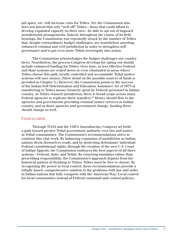jail space, etc. will increase costs for Tribes. Yet, the Commission also does not intend that only "well off" Tribes—those that could afford to develop expanded capacity on their own—be able to opt out of imposed jurisdictional arrangements. Indeed, throughout the course of its field hearings, the Commission was repeatedly struck by the number of Tribes that, despite extraordinary budget challenges, are nonetheless asserting enhanced criminal and civil jurisdiction in order to strengthen selfgovernance and to put even more Tribal sovereignty into action.

 The Commission acknowledges the budget challenges our country faces. Nonetheless, the process Congress develops for opting out should include enhanced funding for Tribes. Over time, as less effective Federal and State systems are scaled down or even eliminated in areas where Tribes choose this path, locally controlled and accountable Tribal justice systems will save money. (More detail on the possible sources of funds is provided in Chapter 3.) However, the Commission points to the success of the Indian Self-Determination and Education Assistance Act of 1975 at transferring to Tribes money formerly spent by Federal personnel in Indian country. As Tribes reassert jurisdiction, there is broad scope across many Federal agencies to replicate these transfers.<sup>28</sup> Money should flow to the agencies and governments providing criminal justice services in Indian country, and as those agencies and government change, funding flows should change as well.

#### **CONCLUSION**

 Through TLOA and the VAWA Amendments, Congress set forth a path toward greater Tribal government authority over law and justice in Tribal communities. The Commission's recommendations strive to continue this vital work. By balancing expansion of jurisdiction as Indian nations deem themselves ready, and by protecting defendants' individual Federal constitutional rights, through the creation of the new U.S. Court of Indian Appeals, the Commission embraces the best aspects of all three systems—Federal, State, and Tribal. By removing mandates rather than prescribing responsibility, the Commission's approach departs from the historical pattern of dictating to Tribes. Tribes must be free to choose. By recognizing the power in local control, these recommendations provide a tribally based, comprehensive solution to the problems with law and order in Indian nations that fully comports with the American Way: Local control for local communities instead of Federal command-and-control policies.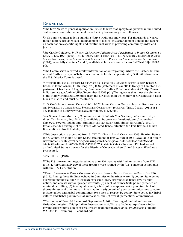#### **ENDNOTES**

<sup>1</sup>The term "laws of general application" refers to laws that apply to all persons in the United States, such as anti-terrorism and racketeering laws among other offenses.

<sup>2</sup>It also runs counter to long-standing Native traditions and views. For thousands of years, Indian nations provided local management of justice; this arrangement upheld and respected each nation's specific rights and institutional ways of providing community order and justice.

<sup>3</sup>*See* Carole Goldberg, *In Theory, In Practice: Judging State Jurisdiction in Indian Country*, 81 Colo. l. Rev. 1027 (2010); Tom R. TyleR, Why PeoPle obey The laW (2006); and STeWaRT Waking, MIRIAM JORGENSON, SUSAN MICHAELSON, & MANLEY BEGAY, POLICNG ON AMERICAN INDIAN RESERVATIONS (2001)[, especially chapters 5 and 6, available at https://www.ncjrs.gov/pdffiles1/nij/188095.](https://www.ncjrs.gov/pdffiles1/nij/188095.pdf) pdf.

4 The Commission received similar information about Wyoming, where the Eastern Shoshone and Northern Arapaho Tribes' reservation is located approximately 300 miles from where the U.S. District Court is based.

<sup>5</sup> OVERSIGHT HEARING ON FEDERAL DECLINATIONS TO PROSECUTION CRIMES IN INDIAN COUNTRY BEFORE S. Comm. on indian aFFaiRS, 110th Cong. 47 (2008) (statement of Janelle F. Doughty, Director, Department of Justice and Regulatory, Southern Ute Indian Tribe) available at 47 http://www. [indian.senate.gov/public/\\_files/September182008.pdf \("Trying cases that meet the element](http://www.indian.senate.gov/public/_files/September182008.pdf)s of the Major Crimes Act 350 miles from the jurisdiction in which they occur stands as a road block to justice and must be resolved").

<sup>6</sup> U.S. GOV'T ACCOUNTABILITY OFFICE, GAO 11-252, INDIAN COUNTRY CRIMINAL JUSTICE: DEPARTMENTS OF The inTeRioR and JuSTiCe Should STRengThen CooRdinaTion To SuPPoRT TRibal CouRTS (2011) at 17- 18, available at [http://www.gao.gov/new.items/d11252.pdf.](http://www.gao.gov/new.items/d11252.pdf)

7 *See* Sierra Crane-Murdoch, *On Indian Land, Criminals Can Get Away with Almost Anything*, THE ATLANTIC, Feb. 22, 2013, available at http://www.theatlantic.com/national/archive/2013/02/on-indian-land-criminals-can-get-away-with-almost-anything/273391/, for an extended example of the Three Affiliated Tribes' situation (on Fort Berthold Indian Reservation in North Dakota).

<sup>8</sup>This description is excerpted from S. 797, THE TRIBAL LAW & ORDER ACT 2009: Hearing Before the S. Comm. on Indian Affairs (2009) (statement of Troy A. Eid) at 40-41, available at http:// www.indian.senate.gov/hearings/hearing.cfm?hearingid=e655f9e2809e5476862f735da-14c3a5f&witnessId=e655f9e2809e5476862f735da14c3a5f-1-5. Chairman Eid had served as the United States Attorney for the District of Colorado when United States v. Wood was prosecuted.

9 435 U.S. 191 (1978).

<sup>10</sup> The U.S. government negotiated more than 800 treaties with Indian nations from 1775 to 1871. Approximately 270 of these treaties were ratified by the U.S. Senate in compliance with the U.S. Constitution.

<sup>11</sup> DUANE CHAMPAGNE & CAROLE GOLDBERG, CAPTURED JUSTICE: NATIVE NATIONS AND PUBLIC LAW 280 (2012). Among those findings echoed in Commission hearings were (1) county-State police overstepping their authority through excessive force, disrespect of Tribal law, discrimination, and arrests without proper warrants; (2) a lack of county-State police presence or minimal patrolling; (3) inadequate county-State police response; (4) a perceived lack of thoroughness and timeliness in investigations; (5) perceived poor communications by county-State police with tribal communities; (6) a lack of respect by county-State police for Tribal culture and Tribal governmental authorities; and (7) overall perceptions of unfairness.

 $12$  Testimony of Brent M. Leonhard, September 7, 2011, Hearing of the Indian Law and Order Commission, Tulalip Indian Reservation, at 2, WA, available at https://www.indian[lawandordercommission.com/resources/documents/ILOC%20Field%20Hearing\\_Tulalip-](http://www.indianlawandordercommission.com/resources/documents/ILOC%20Field%20Hearing_Tulalip-WA_090711_Testimony_BLeonhard.pdf)WA\_090711\_Testimony\_BLeonhard.pdf.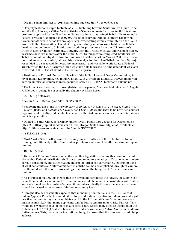<sup>15</sup> Oregon Senate Bill 412-C (2011), amending Or. Rev. Stat. § 133.005, et. seq.

<sup>14</sup>Doughty testimony, supra footnote 54 at 48 (detailing how the Southern Ute Indian Tribe and the U.S. Attorney's Office for the District of Colorado created an on-site SLEC training program, approved by the BIA's Indian Police Academy, that trained Tribal officers to make Federal arrests). Conducted in 2007-08, this pilot program trained Southern Ute law enforcement officers to act as Federal agents in investigating crimes committed on the Southern Ute Indian Reservation. The pilot program training sessions were held in the Tribe's headquarters in Ignacio, Colorado, and taught by prosecutors from the U.S. Attorney's Office in Denver. In her testimony, Doughty, then the Tribe's chief law enforcement officer, describes how just months after the initial SLEC trainings were completed, Southern Ute Tribal criminal investigator Chris Naranjo used his SLEC card on May 24, 2008, to arrest a non-Indian who had serially abused his girlfriend, a Southern Ute Tribal member. Naranjo responded to a suspected domestic violence assault and was able to effectuate a Federal arrest, which the U.S. Attorney's Office was then able to prosecute. The defendant was later convicted in U.S. District Court in Denver and imprisoned.

15 Testimony of Edward Reina, Jr., Hearing of the Indian Law and Order Commission, Salt River Indian Reservation, AZ, January 13, 2012, at 2, available at https://www.indianlawan[dordercommission.com/resources/documents/ILOCFH\\_PhxAZ\\_Testimony\\_EReina.pdf](https://www.indianlawandordercommission.com/resources/documents/ILOCFH_PhxAZ_Testimony_EReina.pdf)

<sup>16</sup> The INDIAN CIVIL RIGHTS ACT AT FORTY (Kristen A. Carpenter, Matthew L.M. Fletcher & Angela R. Riley, eds., 2012). See especially the chapter by Mark Rosen.

 $1725$  U.S.C. § 1302(a)(6).

<sup>18</sup>See *Gideon v. Wainwright*, 372 U.S. 335 (1963).

19 Following the decisions in *Argersinger v. Hamlin*, 407 U.S. 25 (1972), *Scott v. Illinois*, 440 U.S. 367 (1979), and *Alabama v. Shelton*, 535 US 654 (2002), the right to be provided counsel is guaranteed to indigent defendants charged with misdemeanors in cases where imprisonment is a possibility.

<sup>20</sup> Quoted in Sarah Cline, Sovereignty under Arrest: Public Law 280 and Its Discontents, ( (May, 20, 2013) (unpublished master's thesis, Oregon State University) at 54, available at http://ir.library.oregonstate.edu/xmlui/handle/1957/39175.

 $2118$  U.S.C. § 113(3)

 $22$  Most Alaska Native villages and towns may not currently meet the definition of Indian country, but ultimately suffer from similar problems and should be afforded similar opportunities.

<sup>25</sup> 18 U.S.C § 1151.

<sup>24</sup> To respect Tribal self-governance, the enabling legislation creating this new court could clarify that Federal jurisdiction shall not extend to matters relating to Tribal elections, membership enrollment, and other matters internal to Tribal self-governance. Determinations of what constitutes an "internal matter" of a Tribe can be accomplished through in-camera (confidential with the court) proceedings that protect the integrity of Tribal customs and tradition.

 $25$ As a practical matter, this means that the President nominates the judges, the Senate confirms them, and they serve for life. Nominations would be made in consultation with Tribes and each panel would consist of at least three judges. Ideally this new Federal circuit court should be located somewhere within Indian country itself.

 $26$  It might also be reasonably expected that in making nominations to the U.S. Court of Indian Appeals, Presidents should take into consideration expertise in Indian law and legal practice. In nominating such candidates, and in the U.S. Senate's confirmation proceedings, it seems likely that many applicants will be Native American or Alaska Natives. This would be a welcome development in a Federal court system that, since its inception in the Judiciary Act of 1789 (1 Stat 73), has been virtually devoid of any Native American or Alaska Native judges. This, too, creates institutional integrity issues that the new court would help address.